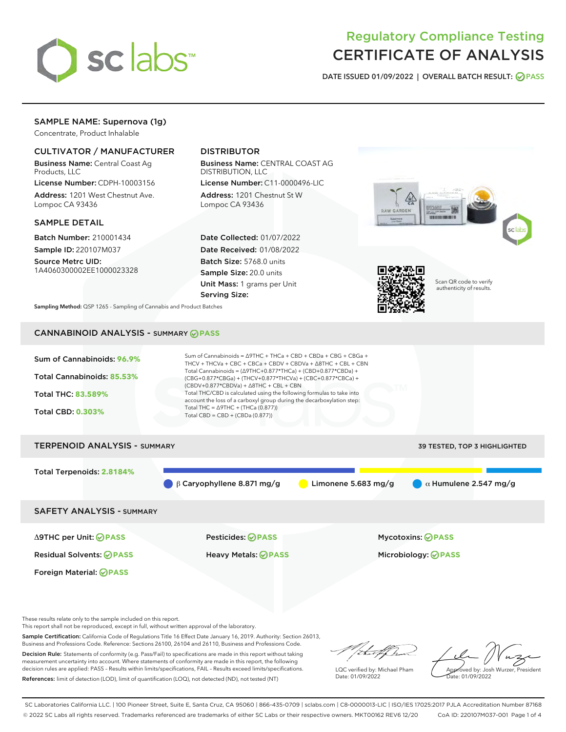

# Regulatory Compliance Testing CERTIFICATE OF ANALYSIS

DATE ISSUED 01/09/2022 | OVERALL BATCH RESULT: @ PASS

# SAMPLE NAME: Supernova (1g)

Concentrate, Product Inhalable

# CULTIVATOR / MANUFACTURER

Business Name: Central Coast Ag Products, LLC

License Number: CDPH-10003156 Address: 1201 West Chestnut Ave. Lompoc CA 93436

### SAMPLE DETAIL

Batch Number: 210001434 Sample ID: 220107M037

Source Metrc UID: 1A4060300002EE1000023328

# DISTRIBUTOR

Business Name: CENTRAL COAST AG DISTRIBUTION, LLC

License Number: C11-0000496-LIC Address: 1201 Chestnut St W Lompoc CA 93436

Date Collected: 01/07/2022 Date Received: 01/08/2022 Batch Size: 5768.0 units Sample Size: 20.0 units Unit Mass: 1 grams per Unit Serving Size:





Scan QR code to verify authenticity of results.

Sampling Method: QSP 1265 - Sampling of Cannabis and Product Batches

# CANNABINOID ANALYSIS - SUMMARY **PASS**

| Sum of Cannabinoids: 96.9%<br>Total Cannabinoids: 85.53%<br>Total THC: 83.589%<br><b>Total CBD: 0.303%</b> | Sum of Cannabinoids = $\triangle$ 9THC + THCa + CBD + CBDa + CBG + CBGa +<br>THCV + THCVa + CBC + CBCa + CBDV + CBDVa + $\Delta$ 8THC + CBL + CBN<br>Total Cannabinoids = $(\Delta$ 9THC+0.877*THCa) + (CBD+0.877*CBDa) +<br>(CBG+0.877*CBGa) + (THCV+0.877*THCVa) + (CBC+0.877*CBCa) +<br>$(CBDV+0.877*CBDVa) + \Delta 8THC + CBL + CBN$<br>Total THC/CBD is calculated using the following formulas to take into<br>account the loss of a carboxyl group during the decarboxylation step:<br>Total THC = $\triangle$ 9THC + (THCa (0.877))<br>Total CBD = $CBD + (CBDa (0.877))$ |  |  |  |  |  |
|------------------------------------------------------------------------------------------------------------|------------------------------------------------------------------------------------------------------------------------------------------------------------------------------------------------------------------------------------------------------------------------------------------------------------------------------------------------------------------------------------------------------------------------------------------------------------------------------------------------------------------------------------------------------------------------------------|--|--|--|--|--|
| <b>TERPENOID ANALYSIS - SUMMARY</b>                                                                        | <b>39 TESTED, TOP 3 HIGHLIGHTED</b>                                                                                                                                                                                                                                                                                                                                                                                                                                                                                                                                                |  |  |  |  |  |
| Total Terpenoids: 2.8184%                                                                                  | Limonene 5.683 mg/g<br>$\alpha$ Humulene 2.547 mg/g<br>$\beta$ Caryophyllene 8.871 mg/g                                                                                                                                                                                                                                                                                                                                                                                                                                                                                            |  |  |  |  |  |
| <b>SAFETY ANALYSIS - SUMMARY</b>                                                                           |                                                                                                                                                                                                                                                                                                                                                                                                                                                                                                                                                                                    |  |  |  |  |  |

Δ9THC per Unit: **PASS** Pesticides: **PASS** Mycotoxins: **PASS**

Foreign Material: **PASS**

Residual Solvents: **PASS** Heavy Metals: **PASS** Microbiology: **PASS**

These results relate only to the sample included on this report.

This report shall not be reproduced, except in full, without written approval of the laboratory.

Sample Certification: California Code of Regulations Title 16 Effect Date January 16, 2019. Authority: Section 26013, Business and Professions Code. Reference: Sections 26100, 26104 and 26110, Business and Professions Code.

Decision Rule: Statements of conformity (e.g. Pass/Fail) to specifications are made in this report without taking measurement uncertainty into account. Where statements of conformity are made in this report, the following decision rules are applied: PASS – Results within limits/specifications, FAIL – Results exceed limits/specifications. References: limit of detection (LOD), limit of quantification (LOQ), not detected (ND), not tested (NT)

that f h

LQC verified by: Michael Pham Date: 01/09/2022

Approved by: Josh Wurzer, President ate: 01/09/2022

SC Laboratories California LLC. | 100 Pioneer Street, Suite E, Santa Cruz, CA 95060 | 866-435-0709 | sclabs.com | C8-0000013-LIC | ISO/IES 17025:2017 PJLA Accreditation Number 87168 © 2022 SC Labs all rights reserved. Trademarks referenced are trademarks of either SC Labs or their respective owners. MKT00162 REV6 12/20 CoA ID: 220107M037-001 Page 1 of 4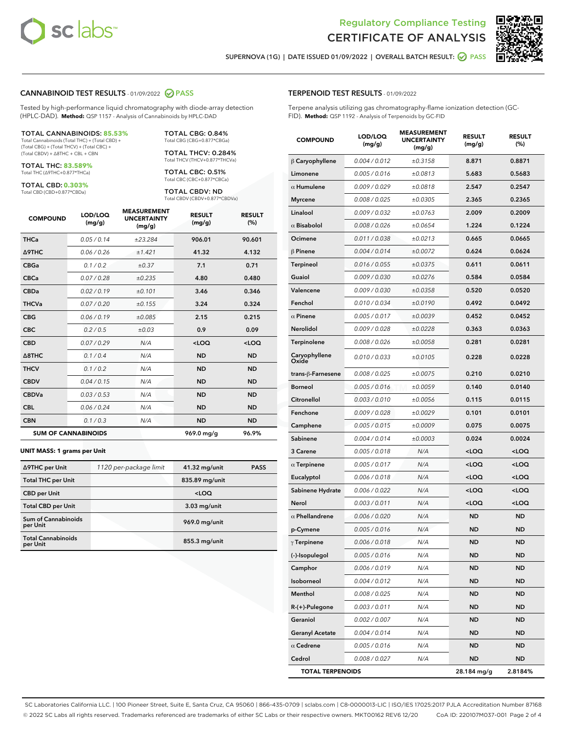



SUPERNOVA (1G) | DATE ISSUED 01/09/2022 | OVERALL BATCH RESULT: @ PASS

#### CANNABINOID TEST RESULTS - 01/09/2022 2 PASS

Tested by high-performance liquid chromatography with diode-array detection (HPLC-DAD). **Method:** QSP 1157 - Analysis of Cannabinoids by HPLC-DAD

#### TOTAL CANNABINOIDS: **85.53%**

Total Cannabinoids (Total THC) + (Total CBD) + (Total CBG) + (Total THCV) + (Total CBC) + (Total CBDV) + ∆8THC + CBL + CBN

TOTAL THC: **83.589%** Total THC (∆9THC+0.877\*THCa)

TOTAL CBD: **0.303%**

Total CBD (CBD+0.877\*CBDa)

TOTAL CBG: 0.84% Total CBG (CBG+0.877\*CBGa)

TOTAL THCV: 0.284% Total THCV (THCV+0.877\*THCVa)

TOTAL CBC: 0.51% Total CBC (CBC+0.877\*CBCa)

TOTAL CBDV: ND Total CBDV (CBDV+0.877\*CBDVa)

| <b>COMPOUND</b>  | LOD/LOQ<br>(mg/g)          | <b>MEASUREMENT</b><br><b>UNCERTAINTY</b><br>(mg/g) | <b>RESULT</b><br>(mg/g) | <b>RESULT</b><br>(%) |
|------------------|----------------------------|----------------------------------------------------|-------------------------|----------------------|
| <b>THCa</b>      | 0.05/0.14                  | ±23.284                                            | 906.01                  | 90.601               |
| <b>A9THC</b>     | 0.06 / 0.26                | ±1.421                                             | 41.32                   | 4.132                |
| <b>CBGa</b>      | 0.1 / 0.2                  | $\pm 0.37$                                         | 7.1                     | 0.71                 |
| <b>CBCa</b>      | 0.07/0.28                  | ±0.235                                             | 4.80                    | 0.480                |
| <b>CBDa</b>      | 0.02/0.19                  | ±0.101                                             | 3.46                    | 0.346                |
| <b>THCVa</b>     | 0.07/0.20                  | ±0.155                                             | 3.24                    | 0.324                |
| <b>CBG</b>       | 0.06/0.19                  | ±0.085                                             | 2.15                    | 0.215                |
| <b>CBC</b>       | 0.2 / 0.5                  | ±0.03                                              | 0.9                     | 0.09                 |
| <b>CBD</b>       | 0.07/0.29                  | N/A                                                | $<$ LOQ                 | $<$ LOQ              |
| $\triangle$ 8THC | 0.1/0.4                    | N/A                                                | <b>ND</b>               | <b>ND</b>            |
| <b>THCV</b>      | 0.1/0.2                    | N/A                                                | <b>ND</b>               | <b>ND</b>            |
| <b>CBDV</b>      | 0.04 / 0.15                | N/A                                                | <b>ND</b>               | <b>ND</b>            |
| <b>CBDVa</b>     | 0.03/0.53                  | N/A                                                | <b>ND</b>               | <b>ND</b>            |
| <b>CBL</b>       | 0.06 / 0.24                | N/A                                                | <b>ND</b>               | <b>ND</b>            |
| <b>CBN</b>       | 0.1/0.3                    | N/A                                                | <b>ND</b>               | <b>ND</b>            |
|                  | <b>SUM OF CANNABINOIDS</b> |                                                    | 969.0 mg/g              | 96.9%                |

#### **UNIT MASS: 1 grams per Unit**

| ∆9THC per Unit                        | 1120 per-package limit | 41.32 mg/unit   | <b>PASS</b> |
|---------------------------------------|------------------------|-----------------|-------------|
| <b>Total THC per Unit</b>             |                        | 835.89 mg/unit  |             |
| <b>CBD</b> per Unit                   |                        | $<$ LOQ         |             |
| <b>Total CBD per Unit</b>             |                        | $3.03$ mg/unit  |             |
| Sum of Cannabinoids<br>per Unit       |                        | 969.0 mg/unit   |             |
| <b>Total Cannabinoids</b><br>per Unit |                        | $855.3$ mg/unit |             |

| <b>COMPOUND</b>         | LOD/LOQ<br>(mg/g) | <b>MEASUREMENT</b><br><b>UNCERTAINTY</b><br>(mq/q) | <b>RESULT</b><br>(mg/g)                         | <b>RESULT</b><br>(%) |
|-------------------------|-------------------|----------------------------------------------------|-------------------------------------------------|----------------------|
| $\beta$ Caryophyllene   | 0.004 / 0.012     | ±0.3158                                            | 8.871                                           | 0.8871               |
| Limonene                | 0.005 / 0.016     | ±0.0813                                            | 5.683                                           | 0.5683               |
| $\alpha$ Humulene       | 0.009/0.029       | ±0.0818                                            | 2.547                                           | 0.2547               |
| <b>Myrcene</b>          | 0.008 / 0.025     | ±0.0305                                            | 2.365                                           | 0.2365               |
| Linalool                | 0.009 / 0.032     | ±0.0763                                            | 2.009                                           | 0.2009               |
| $\alpha$ Bisabolol      | 0.008 / 0.026     | ±0.0654                                            | 1.224                                           | 0.1224               |
| Ocimene                 | 0.011 / 0.038     | ±0.0213                                            | 0.665                                           | 0.0665               |
| $\beta$ Pinene          | 0.004 / 0.014     | ±0.0072                                            | 0.624                                           | 0.0624               |
| <b>Terpineol</b>        | 0.016 / 0.055     | ±0.0375                                            | 0.611                                           | 0.0611               |
| Guaiol                  | 0.009 / 0.030     | ±0.0276                                            | 0.584                                           | 0.0584               |
| Valencene               | 0.009 / 0.030     | ±0.0358                                            | 0.520                                           | 0.0520               |
| Fenchol                 | 0.010 / 0.034     | ±0.0190                                            | 0.492                                           | 0.0492               |
| $\alpha$ Pinene         | 0.005 / 0.017     | ±0.0039                                            | 0.452                                           | 0.0452               |
| Nerolidol               | 0.009 / 0.028     | ±0.0228                                            | 0.363                                           | 0.0363               |
| Terpinolene             | 0.008 / 0.026     | ±0.0058                                            | 0.281                                           | 0.0281               |
| Caryophyllene<br>Oxide  | 0.010 / 0.033     | ±0.0105                                            | 0.228                                           | 0.0228               |
| trans-β-Farnesene       | 0.008 / 0.025     | ±0.0075                                            | 0.210                                           | 0.0210               |
| <b>Borneol</b>          | 0.005 / 0.016     | ±0.0059                                            | 0.140                                           | 0.0140               |
| Citronellol             | 0.003 / 0.010     | ±0.0056                                            | 0.115                                           | 0.0115               |
| Fenchone                | 0.009 / 0.028     | ±0.0029                                            | 0.101                                           | 0.0101               |
| Camphene                | 0.005 / 0.015     | ±0.0009                                            | 0.075                                           | 0.0075               |
| Sabinene                | 0.004 / 0.014     | ±0.0003                                            | 0.024                                           | 0.0024               |
| 3 Carene                | 0.005 / 0.018     | N/A                                                | <loq< th=""><th><loq< th=""></loq<></th></loq<> | <loq< th=""></loq<>  |
| $\alpha$ Terpinene      | 0.005 / 0.017     | N/A                                                | <loq< th=""><th><loq< th=""></loq<></th></loq<> | <loq< th=""></loq<>  |
| Eucalyptol              | 0.006 / 0.018     | N/A                                                | $<$ LOQ                                         | $<$ LOQ              |
| Sabinene Hydrate        | 0.006 / 0.022     | N/A                                                | <loq< th=""><th><loq< th=""></loq<></th></loq<> | <loq< th=""></loq<>  |
| Nerol                   | 0.003 / 0.011     | N/A                                                | <loq< th=""><th><loq< th=""></loq<></th></loq<> | <loq< th=""></loq<>  |
| $\alpha$ Phellandrene   | 0.006 / 0.020     | N/A                                                | <b>ND</b>                                       | <b>ND</b>            |
| p-Cymene                | 0.005 / 0.016     | N/A                                                | ND                                              | <b>ND</b>            |
| $\gamma$ Terpinene      | 0.006 / 0.018     | N/A                                                | <b>ND</b>                                       | <b>ND</b>            |
| (-)-Isopulegol          | 0.005 / 0.016     | N/A                                                | ND                                              | ND                   |
| Camphor                 | 0.006 / 0.019     | N/A                                                | ND                                              | ND                   |
| Isoborneol              | 0.004 / 0.012     | N/A                                                | ND                                              | ND                   |
| Menthol                 | 0.008 / 0.025     | N/A                                                | ND                                              | <b>ND</b>            |
| R-(+)-Pulegone          | 0.003 / 0.011     | N/A                                                | ND                                              | ND                   |
| Geraniol                | 0.002 / 0.007     | N/A                                                | ND                                              | ND                   |
| <b>Geranyl Acetate</b>  | 0.004 / 0.014     | N/A                                                | ND                                              | <b>ND</b>            |
| $\alpha$ Cedrene        | 0.005 / 0.016     | N/A                                                | ND                                              | ND                   |
| Cedrol                  | 0.008 / 0.027     | N/A                                                | ND                                              | ND                   |
| <b>TOTAL TERPENOIDS</b> |                   |                                                    | 28.184 mg/g                                     | 2.8184%              |

SC Laboratories California LLC. | 100 Pioneer Street, Suite E, Santa Cruz, CA 95060 | 866-435-0709 | sclabs.com | C8-0000013-LIC | ISO/IES 17025:2017 PJLA Accreditation Number 87168 © 2022 SC Labs all rights reserved. Trademarks referenced are trademarks of either SC Labs or their respective owners. MKT00162 REV6 12/20 CoA ID: 220107M037-001 Page 2 of 4

# TERPENOID TEST RESULTS - 01/09/2022

Terpene analysis utilizing gas chromatography-flame ionization detection (GC-FID). **Method:** QSP 1192 - Analysis of Terpenoids by GC-FID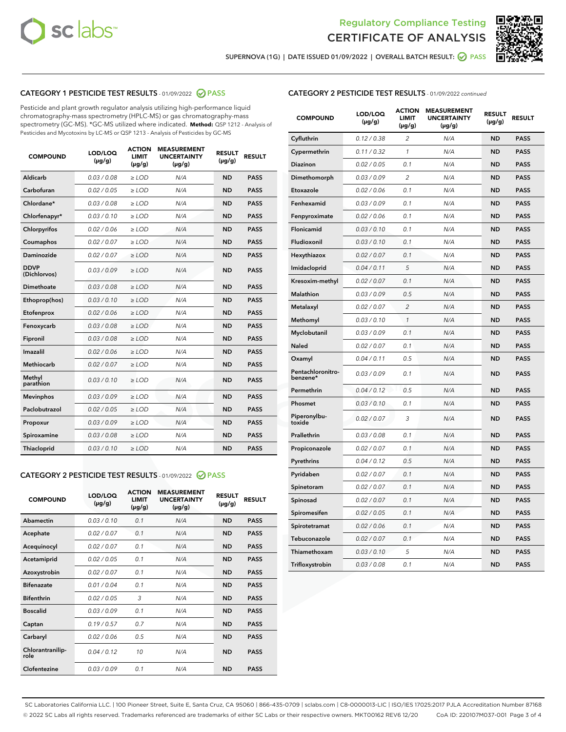



SUPERNOVA (1G) | DATE ISSUED 01/09/2022 | OVERALL BATCH RESULT: @ PASS

# CATEGORY 1 PESTICIDE TEST RESULTS - 01/09/2022 2 PASS

Pesticide and plant growth regulator analysis utilizing high-performance liquid chromatography-mass spectrometry (HPLC-MS) or gas chromatography-mass spectrometry (GC-MS). \*GC-MS utilized where indicated. **Method:** QSP 1212 - Analysis of Pesticides and Mycotoxins by LC-MS or QSP 1213 - Analysis of Pesticides by GC-MS

| <b>COMPOUND</b>             | LOD/LOQ<br>$(\mu g/g)$ | <b>ACTION</b><br><b>LIMIT</b><br>$(\mu g/g)$ | <b>MEASUREMENT</b><br><b>UNCERTAINTY</b><br>$(\mu g/g)$ | <b>RESULT</b><br>$(\mu g/g)$ | <b>RESULT</b> |
|-----------------------------|------------------------|----------------------------------------------|---------------------------------------------------------|------------------------------|---------------|
| Aldicarb                    | 0.03 / 0.08            | $\ge$ LOD                                    | N/A                                                     | <b>ND</b>                    | <b>PASS</b>   |
| Carbofuran                  | 0.02/0.05              | $>$ LOD                                      | N/A                                                     | <b>ND</b>                    | <b>PASS</b>   |
| Chlordane*                  | 0.03 / 0.08            | $\ge$ LOD                                    | N/A                                                     | <b>ND</b>                    | <b>PASS</b>   |
| Chlorfenapyr*               | 0.03/0.10              | $>$ LOD                                      | N/A                                                     | <b>ND</b>                    | <b>PASS</b>   |
| Chlorpyrifos                | 0.02 / 0.06            | $\ge$ LOD                                    | N/A                                                     | <b>ND</b>                    | <b>PASS</b>   |
| Coumaphos                   | 0.02 / 0.07            | $\ge$ LOD                                    | N/A                                                     | <b>ND</b>                    | <b>PASS</b>   |
| Daminozide                  | 0.02 / 0.07            | $\ge$ LOD                                    | N/A                                                     | <b>ND</b>                    | <b>PASS</b>   |
| <b>DDVP</b><br>(Dichlorvos) | 0.03/0.09              | $\ge$ LOD                                    | N/A                                                     | <b>ND</b>                    | <b>PASS</b>   |
| Dimethoate                  | 0.03/0.08              | $>$ LOD                                      | N/A                                                     | <b>ND</b>                    | <b>PASS</b>   |
| Ethoprop(hos)               | 0.03/0.10              | $\ge$ LOD                                    | N/A                                                     | <b>ND</b>                    | <b>PASS</b>   |
| Etofenprox                  | 0.02 / 0.06            | $\ge$ LOD                                    | N/A                                                     | <b>ND</b>                    | <b>PASS</b>   |
| Fenoxycarb                  | 0.03 / 0.08            | $\ge$ LOD                                    | N/A                                                     | <b>ND</b>                    | <b>PASS</b>   |
| Fipronil                    | 0.03/0.08              | $>$ LOD                                      | N/A                                                     | <b>ND</b>                    | <b>PASS</b>   |
| Imazalil                    | 0.02 / 0.06            | $\ge$ LOD                                    | N/A                                                     | <b>ND</b>                    | <b>PASS</b>   |
| Methiocarb                  | 0.02 / 0.07            | $\ge$ LOD                                    | N/A                                                     | <b>ND</b>                    | <b>PASS</b>   |
| Methyl<br>parathion         | 0.03/0.10              | $\ge$ LOD                                    | N/A                                                     | <b>ND</b>                    | <b>PASS</b>   |
| <b>Mevinphos</b>            | 0.03/0.09              | $>$ LOD                                      | N/A                                                     | <b>ND</b>                    | <b>PASS</b>   |
| Paclobutrazol               | 0.02 / 0.05            | $\ge$ LOD                                    | N/A                                                     | <b>ND</b>                    | <b>PASS</b>   |
| Propoxur                    | 0.03/0.09              | $\ge$ LOD                                    | N/A                                                     | <b>ND</b>                    | <b>PASS</b>   |
| Spiroxamine                 | 0.03 / 0.08            | $\ge$ LOD                                    | N/A                                                     | <b>ND</b>                    | <b>PASS</b>   |
| Thiacloprid                 | 0.03/0.10              | $\ge$ LOD                                    | N/A                                                     | <b>ND</b>                    | <b>PASS</b>   |

#### CATEGORY 2 PESTICIDE TEST RESULTS - 01/09/2022 2 PASS

| <b>COMPOUND</b>          | LOD/LOO<br>$(\mu g/g)$ | <b>ACTION</b><br>LIMIT<br>$(\mu g/g)$ | <b>MEASUREMENT</b><br><b>UNCERTAINTY</b><br>$(\mu g/g)$ | <b>RESULT</b><br>$(\mu g/g)$ | <b>RESULT</b> |  |
|--------------------------|------------------------|---------------------------------------|---------------------------------------------------------|------------------------------|---------------|--|
| Abamectin                | 0.03/0.10              | 0.1                                   | N/A                                                     | <b>ND</b>                    | <b>PASS</b>   |  |
| Acephate                 | 0.02/0.07              | 0.1                                   | N/A                                                     | <b>ND</b>                    | <b>PASS</b>   |  |
| Acequinocyl              | 0.02/0.07              | 0.1                                   | N/A                                                     | <b>ND</b>                    | <b>PASS</b>   |  |
| Acetamiprid              | 0.02 / 0.05            | 0.1                                   | N/A                                                     | <b>ND</b>                    | <b>PASS</b>   |  |
| Azoxystrobin             | 0.02/0.07              | 0.1                                   | N/A                                                     | <b>ND</b>                    | <b>PASS</b>   |  |
| <b>Bifenazate</b>        | 0.01 / 0.04            | 0.1                                   | N/A                                                     | <b>ND</b>                    | <b>PASS</b>   |  |
| <b>Bifenthrin</b>        | 0.02 / 0.05            | 3                                     | N/A                                                     | <b>ND</b>                    | <b>PASS</b>   |  |
| <b>Boscalid</b>          | 0.03/0.09              | 0.1                                   | N/A                                                     | <b>ND</b>                    | <b>PASS</b>   |  |
| Captan                   | 0.19/0.57              | 0.7                                   | N/A                                                     | <b>ND</b>                    | <b>PASS</b>   |  |
| Carbaryl                 | 0.02/0.06              | 0.5                                   | N/A                                                     | <b>ND</b>                    | <b>PASS</b>   |  |
| Chlorantranilip-<br>role | 0.04/0.12              | 10                                    | N/A                                                     | <b>ND</b>                    | <b>PASS</b>   |  |
| Clofentezine             | 0.03/0.09              | 0.1                                   | N/A                                                     | <b>ND</b>                    | <b>PASS</b>   |  |

|  | <b>CATEGORY 2 PESTICIDE TEST RESULTS</b> - 01/09/2022 continued |
|--|-----------------------------------------------------------------|
|  |                                                                 |

| <b>COMPOUND</b>               | LOD/LOQ<br>(µg/g) | <b>ACTION</b><br>LIMIT<br>(µg/g) | <b>MEASUREMENT</b><br><b>UNCERTAINTY</b><br>$(\mu g/g)$ | <b>RESULT</b><br>(µg/g) | <b>RESULT</b> |
|-------------------------------|-------------------|----------------------------------|---------------------------------------------------------|-------------------------|---------------|
| Cyfluthrin                    | 0.12 / 0.38       | $\overline{c}$                   | N/A                                                     | ND                      | <b>PASS</b>   |
| Cypermethrin                  | 0.11/0.32         | 1                                | N/A                                                     | ND                      | <b>PASS</b>   |
| Diazinon                      | 0.02 / 0.05       | 0.1                              | N/A                                                     | ND                      | <b>PASS</b>   |
| Dimethomorph                  | 0.03 / 0.09       | 2                                | N/A                                                     | <b>ND</b>               | <b>PASS</b>   |
| Etoxazole                     | 0.02 / 0.06       | 0.1                              | N/A                                                     | ND                      | <b>PASS</b>   |
| Fenhexamid                    | 0.03 / 0.09       | 0.1                              | N/A                                                     | <b>ND</b>               | <b>PASS</b>   |
| Fenpyroximate                 | 0.02 / 0.06       | 0.1                              | N/A                                                     | <b>ND</b>               | <b>PASS</b>   |
| Flonicamid                    | 0.03 / 0.10       | 0.1                              | N/A                                                     | <b>ND</b>               | <b>PASS</b>   |
| Fludioxonil                   | 0.03 / 0.10       | 0.1                              | N/A                                                     | ND                      | <b>PASS</b>   |
| Hexythiazox                   | 0.02 / 0.07       | 0.1                              | N/A                                                     | <b>ND</b>               | <b>PASS</b>   |
| Imidacloprid                  | 0.04 / 0.11       | 5                                | N/A                                                     | ND                      | <b>PASS</b>   |
| Kresoxim-methyl               | 0.02 / 0.07       | 0.1                              | N/A                                                     | ND                      | <b>PASS</b>   |
| <b>Malathion</b>              | 0.03 / 0.09       | 0.5                              | N/A                                                     | <b>ND</b>               | <b>PASS</b>   |
| Metalaxyl                     | 0.02 / 0.07       | $\overline{\mathcal{L}}$         | N/A                                                     | <b>ND</b>               | <b>PASS</b>   |
| Methomyl                      | 0.03 / 0.10       | $\mathcal{I}$                    | N/A                                                     | <b>ND</b>               | <b>PASS</b>   |
| Myclobutanil                  | 0.03 / 0.09       | 0.1                              | N/A                                                     | <b>ND</b>               | <b>PASS</b>   |
| Naled                         | 0.02 / 0.07       | 0.1                              | N/A                                                     | <b>ND</b>               | <b>PASS</b>   |
| Oxamyl                        | 0.04 / 0.11       | 0.5                              | N/A                                                     | <b>ND</b>               | <b>PASS</b>   |
| Pentachloronitro-<br>benzene* | 0.03 / 0.09       | 0.1                              | N/A                                                     | <b>ND</b>               | <b>PASS</b>   |
| Permethrin                    | 0.04/0.12         | 0.5                              | N/A                                                     | ND                      | <b>PASS</b>   |
| Phosmet                       | 0.03 / 0.10       | 0.1                              | N/A                                                     | ND                      | <b>PASS</b>   |
| Piperonylbu-<br>toxide        | 0.02 / 0.07       | 3                                | N/A                                                     | <b>ND</b>               | <b>PASS</b>   |
| Prallethrin                   | 0.03 / 0.08       | 0.1                              | N/A                                                     | ND                      | <b>PASS</b>   |
| Propiconazole                 | 0.02 / 0.07       | 0.1                              | N/A                                                     | <b>ND</b>               | <b>PASS</b>   |
| Pyrethrins                    | 0.04 / 0.12       | 0.5                              | N/A                                                     | ND                      | <b>PASS</b>   |
| Pyridaben                     | 0.02 / 0.07       | 0.1                              | N/A                                                     | ND                      | <b>PASS</b>   |
| Spinetoram                    | 0.02 / 0.07       | 0.1                              | N/A                                                     | ND                      | <b>PASS</b>   |
| Spinosad                      | 0.02 / 0.07       | 0.1                              | N/A                                                     | <b>ND</b>               | <b>PASS</b>   |
| Spiromesifen                  | 0.02 / 0.05       | 0.1                              | N/A                                                     | ND                      | <b>PASS</b>   |
| Spirotetramat                 | 0.02 / 0.06       | 0.1                              | N/A                                                     | ND                      | <b>PASS</b>   |
| Tebuconazole                  | 0.02 / 0.07       | 0.1                              | N/A                                                     | ND                      | <b>PASS</b>   |
| Thiamethoxam                  | 0.03 / 0.10       | 5                                | N/A                                                     | ND                      | <b>PASS</b>   |
| Trifloxystrobin               | 0.03 / 0.08       | 0.1                              | N/A                                                     | ND                      | <b>PASS</b>   |

SC Laboratories California LLC. | 100 Pioneer Street, Suite E, Santa Cruz, CA 95060 | 866-435-0709 | sclabs.com | C8-0000013-LIC | ISO/IES 17025:2017 PJLA Accreditation Number 87168 © 2022 SC Labs all rights reserved. Trademarks referenced are trademarks of either SC Labs or their respective owners. MKT00162 REV6 12/20 CoA ID: 220107M037-001 Page 3 of 4